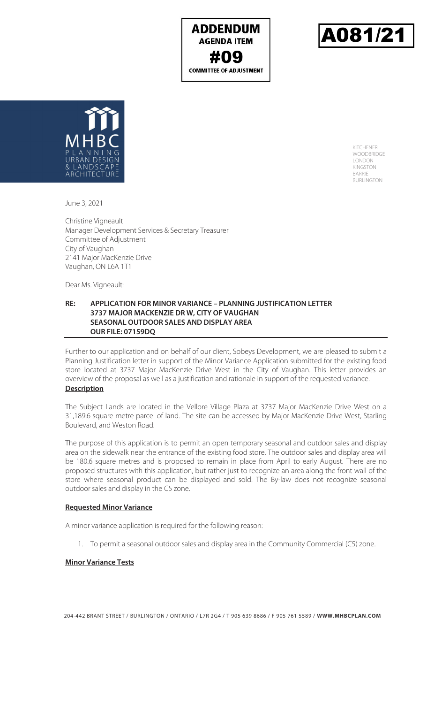**ADDENDUM AGENDA ITEM #09**<br>COMMITTEE OF ADJUSTMENT





KITCHENER **WOODBRIDGE** LONDON KINGSTON BARRIE BURLINGTON

June 3, 2021

Christine Vigneault Manager Development Services & Secretary Treasurer Committee of Adjustment City of Vaughan 2141 Major MacKenzie Drive Vaughan, ON L6A 1T1

Dear Ms. Vigneault:

### **RE: APPLICATION FOR MINOR VARIANCE – PLANNING JUSTIFICATION LETTER 3737 MAJOR MACKENZIE DR W, CITY OF VAUGHAN SEASONAL OUTDOOR SALES AND DISPLAY AREA OUR FILE: 07159DQ**

Further to our application and on behalf of our client, Sobeys Development, we are pleased to submit a Planning Justification letter in support of the Minor Variance Application submitted for the existing food store located at 3737 Major MacKenzie Drive West in the City of Vaughan. This letter provides an overview of the proposal as well as a justification and rationale in support of the requested variance. **Description** 

The Subject Lands are located in the Vellore Village Plaza at 3737 Major MacKenzie Drive West on a 31,189.6 square metre parcel of land. The site can be accessed by Major MacKenzie Drive West, Starling Boulevard, and Weston Road.

The purpose of this application is to permit an open temporary seasonal and outdoor sales and display area on the sidewalk near the entrance of the existing food store. The outdoor sales and display area will be 180.6 square metres and is proposed to remain in place from April to early August. There are no proposed structures with this application, but rather just to recognize an area along the front wall of the store where seasonal product can be displayed and sold. The By-law does not recognize seasonal outdoor sales and display in the C5 zone.

### **Requested Minor Variance**

A minor variance application is required for the following reason:

1. To permit a seasonal outdoor sales and display area in the Community Commercial (C5) zone.

### **Minor Variance Tests**

204-442 BRANT STREET / BURLINGTON / ONTARIO / L7R 2G4 / T 905 639 8686 / F 905 761 5589 / **WWW.MHBCPLAN.COM**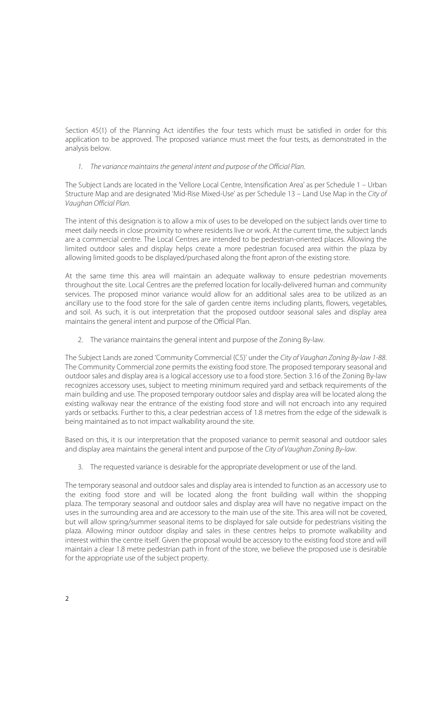Section 45(1) of the Planning Act identifies the four tests which must be satisfied in order for this application to be approved. The proposed variance must meet the four tests, as demonstrated in the analysis below.

## 1. The variance maintains the general intent and purpose of the Official Plan.

The Subject Lands are located in the 'Vellore Local Centre, Intensification Area' as per Schedule 1 – Urban Structure Map and are designated 'Mid-Rise Mixed-Use' as per Schedule 13 – Land Use Map in the City of Vaughan Official Plan.

The intent of this designation is to allow a mix of uses to be developed on the subject lands over time to meet daily needs in close proximity to where residents live or work. At the current time, the subject lands are a commercial centre. The Local Centres are intended to be pedestrian-oriented places. Allowing the limited outdoor sales and display helps create a more pedestrian focused area within the plaza by allowing limited goods to be displayed/purchased along the front apron of the existing store.

At the same time this area will maintain an adequate walkway to ensure pedestrian movements throughout the site. Local Centres are the preferred location for locally-delivered human and community services. The proposed minor variance would allow for an additional sales area to be utilized as an ancillary use to the food store for the sale of garden centre items including plants, flowers, vegetables, and soil. As such, it is out interpretation that the proposed outdoor seasonal sales and display area maintains the general intent and purpose of the Official Plan.

2. The variance maintains the general intent and purpose of the Zoning By-law.

The Subject Lands are zoned 'Community Commercial (C5)' under the City of Vaughan Zoning By-law 1-88. The Community Commercial zone permits the existing food store. The proposed temporary seasonal and outdoor sales and display area is a logical accessory use to a food store. Section 3.16 of the Zoning By-law recognizes accessory uses, subject to meeting minimum required yard and setback requirements of the main building and use. The proposed temporary outdoor sales and display area will be located along the existing walkway near the entrance of the existing food store and will not encroach into any required yards or setbacks. Further to this, a clear pedestrian access of 1.8 metres from the edge of the sidewalk is being maintained as to not impact walkability around the site.

Based on this, it is our interpretation that the proposed variance to permit seasonal and outdoor sales and display area maintains the general intent and purpose of the City of Vaughan Zoning By-law.

3. The requested variance is desirable for the appropriate development or use of the land.

The temporary seasonal and outdoor sales and display area is intended to function as an accessory use to the exiting food store and will be located along the front building wall within the shopping plaza. The temporary seasonal and outdoor sales and display area will have no negative impact on the uses in the surrounding area and are accessory to the main use of the site. This area will not be covered, but will allow spring/summer seasonal items to be displayed for sale outside for pedestrians visiting the plaza. Allowing minor outdoor display and sales in these centres helps to promote walkability and interest within the centre itself. Given the proposal would be accessory to the existing food store and will maintain a clear 1.8 metre pedestrian path in front of the store, we believe the proposed use is desirable for the appropriate use of the subject property.